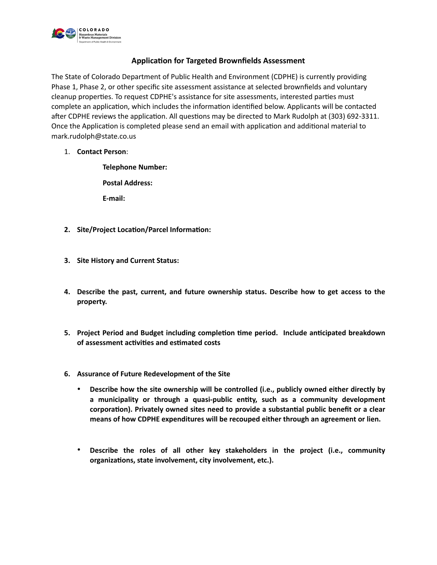

## **Application for Targeted Brownfields Assessment**

The State of Colorado Department of Public Health and Environment (CDPHE) is currently providing Phase 1, Phase 2, or other specific site assessment assistance at selected brownfields and voluntary cleanup properties. To request CDPHE's assistance for site assessments, interested parties must complete an application, which includes the information identified below. Applicants will be contacted after CDPHE reviews the application. All questions may be directed to Mark Rudolph at (303) 692-3311. Once the Application is completed please send an email with application and additional material to mark.rudolph@state.co.us

1. **Contact Person**:

**Telephone Number: Postal Address:**

**E-mail:**

- **2. Site/Project Location/Parcel Information:**
- **3. Site History and Current Status:**
- **4. Describe the past, current, and future ownership status. Describe how to get access to the property.**
- **5. Project Period and Budget including completion time period. Include anticipated breakdown of assessment activities and estimated costs**
- **6. Assurance of Future Redevelopment of the Site**
	- **Describe how the site ownership will be controlled (i.e., publicly owned either directly by a municipality or through a quasi-public entity, such as a community development corporation). Privately owned sites need to provide a substantial public benefit or a clear means of how CDPHE expenditures will be recouped either through an agreement or lien.**
	- **Describe the roles of all other key stakeholders in the project (i.e., community organizations, state involvement, city involvement, etc.).**